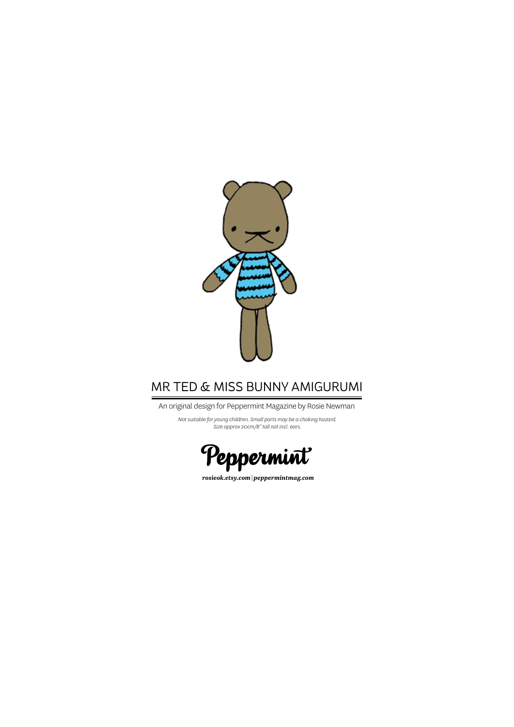

# MR TED & MISS BUNNY AMIGURUMI

An original design for Peppermint Magazine by Rosie Newman

*Not suitable for young children. Small parts may be a choking hazard. Size approx 20cm/8" tall not incl. ears.*



*rosieok.etsy.com* | *peppermintmag.com*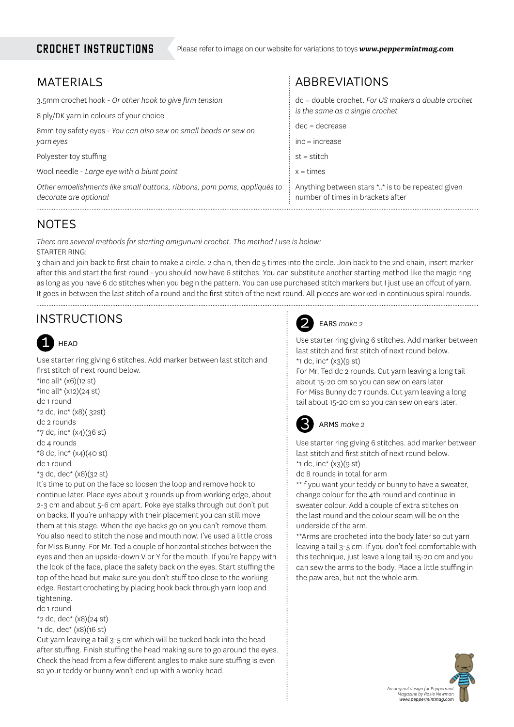### CROCHET instructions

| <b>ABBREVIATIONS</b>                                                                   |
|----------------------------------------------------------------------------------------|
| dc = double crochet. For US makers a double crochet                                    |
| is the same as a single crochet                                                        |
| $dec = decrease$                                                                       |
| $inc = increase$                                                                       |
| $st = stitch$                                                                          |
| $x = times$                                                                            |
| Anything between stars ** is to be repeated given<br>number of times in brackets after |
|                                                                                        |

# NOTES

*There are several methods for starting amigurumi crochet. The method I use is below:* STARTER RING:

3 chain and join back to first chain to make a circle. 2 chain, then dc 5 times into the circle. Join back to the 2nd chain, insert marker after this and start the first round - you should now have 6 stitches. You can substitute another starting method like the magic ring as long as you have 6 dc stitches when you begin the pattern. You can use purchased stitch markers but I just use an offcut of yarn. It goes in between the last stitch of a round and the first stitch of the next round. All pieces are worked in continuous spiral rounds.

# INSTRUCTIONS



Use starter ring giving 6 stitches. Add marker between last stitch and first stitch of next round below.

\*inc all\*  $(x6)(12 st)$ \*inc all\*  $(x12)(24 st)$ dc 1 round \*2 dc, inc\* (x8)( 32st) dc 2 rounds \*7 dc, inc\* (x4)(36 st) dc 4 rounds \*8 dc, inc\* (x4)(40 st) dc 1 round

```
*3 dc, dec* (x8)(32 st)
```
It's time to put on the face so loosen the loop and remove hook to continue later. Place eyes about 3 rounds up from working edge, about 2-3 cm and about 5-6 cm apart. Poke eye stalks through but don't put on backs. If you're unhappy with their placement you can still move them at this stage. When the eye backs go on you can't remove them. You also need to stitch the nose and mouth now. I've used a little cross for Miss Bunny. For Mr. Ted a couple of horizontal stitches between the eyes and then an upside-down V or Y for the mouth. If you're happy with the look of the face, place the safety back on the eyes. Start stuffing the top of the head but make sure you don't stuff too close to the working edge. Restart crocheting by placing hook back through yarn loop and tightening.

dc 1 round \*2 dc, dec\* (x8)(24 st)

\*1 dc, dec\* (x8)(16 st)

Cut yarn leaving a tail 3-5 cm which will be tucked back into the head after stuffing. Finish stuffing the head making sure to go around the eyes. Check the head from a few different angles to make sure stuffing is even so your teddy or bunny won't end up with a wonky head.



### EARS *make 2*

Use starter ring giving 6 stitches. Add marker between last stitch and first stitch of next round below. \*1 dc, inc\*  $(x3)(9 \text{ st})$ 

For Mr. Ted dc 2 rounds. Cut yarn leaving a long tail about 15-20 cm so you can sew on ears later. For Miss Bunny dc 7 rounds. Cut yarn leaving a long tail about 15-20 cm so you can sew on ears later.

#### 3 ARMS *make 2*

Use starter ring giving 6 stitches. add marker between last stitch and first stitch of next round below. \*1 dc, inc\*  $(x_3)(9 \text{ st})$ 

dc 8 rounds in total for arm

\*\*If you want your teddy or bunny to have a sweater, change colour for the 4th round and continue in sweater colour. Add a couple of extra stitches on the last round and the colour seam will be on the underside of the arm.

\*\*Arms are crocheted into the body later so cut yarn leaving a tail 3-5 cm. If you don't feel comfortable with this technique, just leave a long tail 15-20 cm and you can sew the arms to the body. Place a little stuffing in the paw area, but not the whole arm.